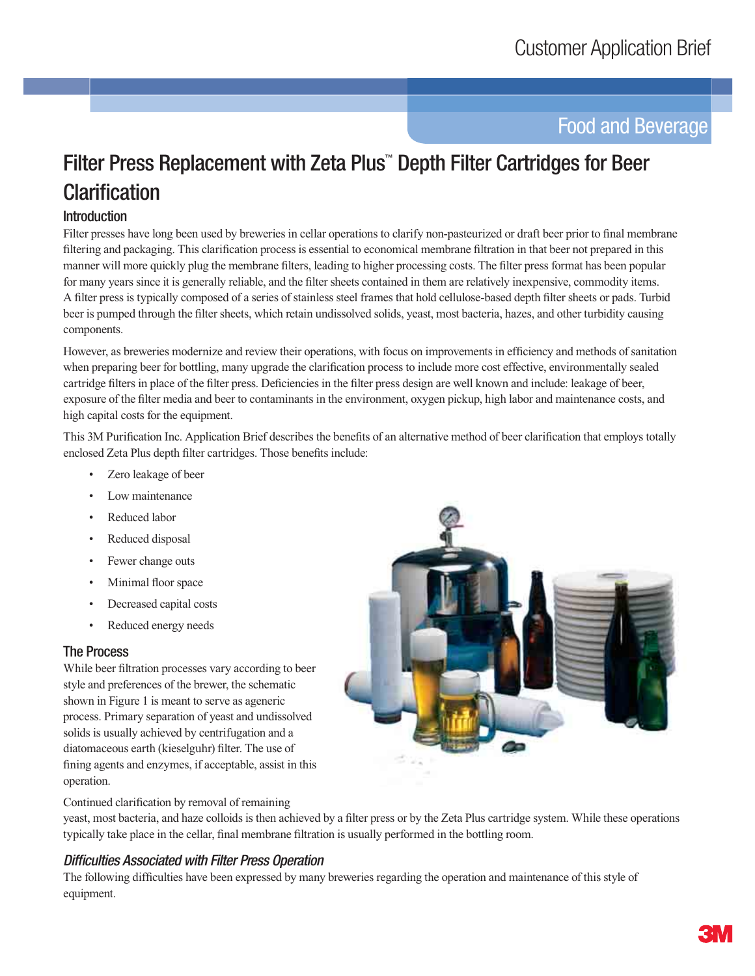# **Food and Beverage**

# Filter Press Replacement with Zeta Plus" Depth Filter Cartridges for Beer **Clarification**

# **Introduction**

Filter presses have long been used by breweries in cellar operations to clarify non-pasteurized or draft beer prior to final membrane filtering and packaging. This clarification process is essential to economical membrane filtration in that beer not prepared in this manner will more quickly plug the membrane filters, leading to higher processing costs. The filter press format has been popular for many years since it is generally reliable, and the filter sheets contained in them are relatively inexpensive, commodity items. A filter press is typically composed of a series of stainless steel frames that hold cellulose-based depth filter sheets or pads. Turbid beer is pumped through the filter sheets, which retain undissolved solids, yeast, most bacteria, hazes, and other turbidity causing components.

However, as breweries modernize and review their operations, with focus on improvements in efficiency and methods of sanitation when preparing beer for bottling, many upgrade the clarification process to include more cost effective, environmentally sealed cartridge filters in place of the filter press. Deficiencies in the filter press design are well known and include: leakage of beer, exposure of the filter media and beer to contaminants in the environment, oxygen pickup, high labor and maintenance costs, and high capital costs for the equipment.

This 3M Purification Inc. Application Brief describes the benefits of an alternative method of beer clarification that employs totally enclosed Zeta Plus depth filter cartridges. Those benefits include:

- Zero leakage of beer
- Low maintenance
- Reduced labor
- Reduced disposal
- Fewer change outs
- Minimal floor space
- Decreased capital costs
- Reduced energy needs

#### **The Process**

While beer filtration processes vary according to beer style and preferences of the brewer, the schematic shown in Figure 1 is meant to serve as ageneric process. Primary separation of yeast and undissolved solids is usually achieved by centrifugation and a diatomaceous earth (kieselguhr) filter. The use of fining agents and enzymes, if acceptable, assist in this operation.



Continued clarification by removal of remaining

yeast, most bacteria, and haze colloids is then achieved by a filter press or by the Zeta Plus cartridge system. While these operations typically take place in the cellar, final membrane filtration is usually performed in the bottling room.

#### **Difficulties Associated with Filter Press Operation**

The following difficulties have been expressed by many breweries regarding the operation and maintenance of this style of equipment.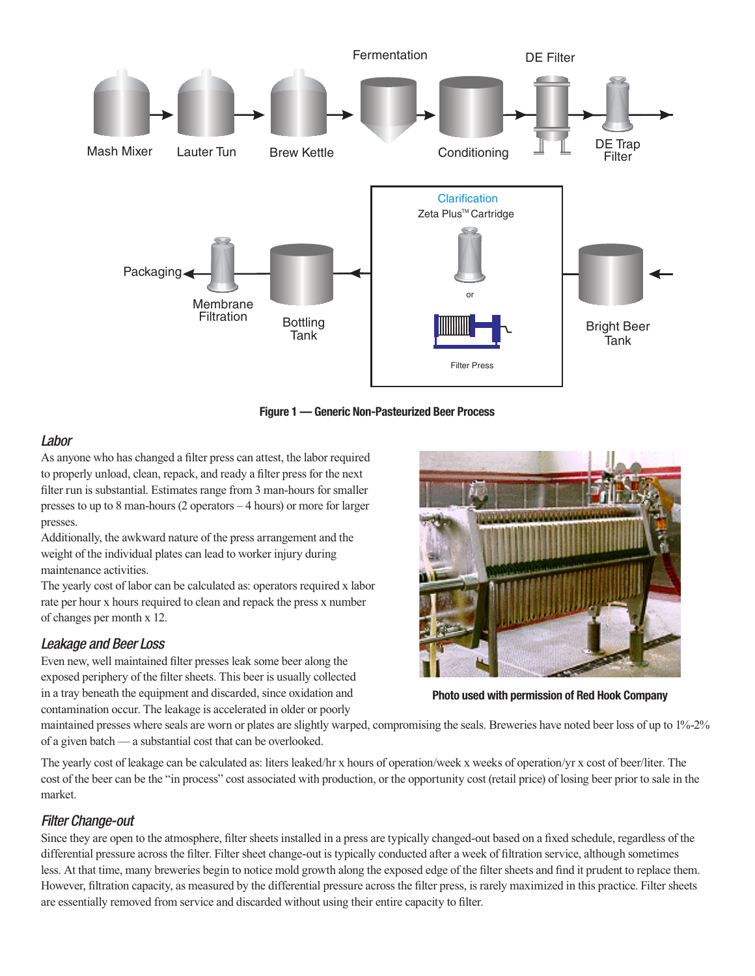

Figure 1 - Generic Non-Pasteurized Beer Process

#### Labor

As anyone who has changed a filter press can attest, the labor required to properly unload, clean, repack, and ready a filter press for the next filter run is substantial. Estimates range from 3 man-hours for smaller presses to up to 8 man-hours  $(2$  operators  $-4$  hours) or more for larger presses.

Additionally, the awkward nature of the press arrangement and the weight of the individual plates can lead to worker injury during maintenance activities.

The yearly cost of labor can be calculated as: operators required x labor rate per hour x hours required to clean and repack the press x number of changes per month x 12.

#### **Leakage and Beer Loss**

Even new, well maintained filter presses leak some beer along the exposed periphery of the filter sheets. This beer is usually collected in a tray beneath the equipment and discarded, since oxidation and contamination occur. The leakage is accelerated in older or poorly



Photo used with permission of Red Hook Company

maintained presses where seals are worn or plates are slightly warped, compromising the seals. Breweries have noted beer loss of up to 1%-2% of a given batch — a substantial cost that can be overlooked.

The yearly cost of leakage can be calculated as: liters leaked/hr x hours of operation/week x weeks of operation/yr x cost of beer/liter. The cost of the beer can be the "in process" cost associated with production, or the opportunity cost (retail price) of losing beer prior to sale in the market.

#### **Filter Change-out**

Since they are open to the atmosphere, filter sheets installed in a press are typically changed-out based on a fixed schedule, regardless of the differential pressure across the filter. Filter sheet change-out is typically conducted after a week of filtration service, although sometimes less. At that time, many breweries begin to notice mold growth along the exposed edge of the filter sheets and find it prudent to replace them. However, filtration capacity, as measured by the differential pressure across the filter press, is rarely maximized in this practice. Filter sheets are essentially removed from service and discarded without using their entire capacity to filter.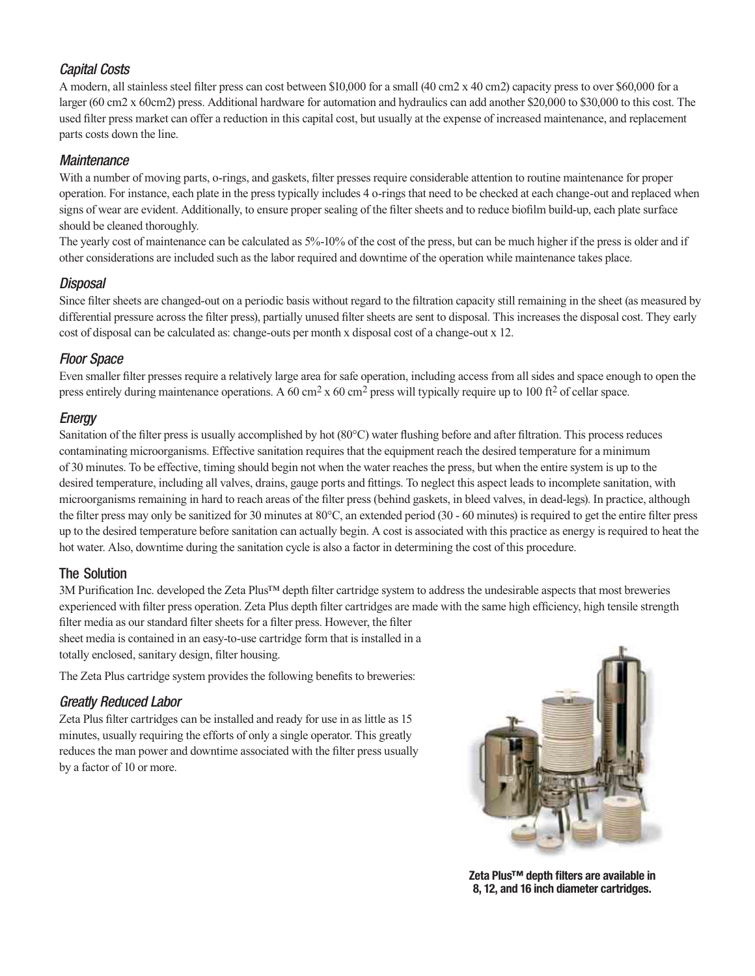# Capital Costs

A modern, all stainless steel filter press can cost between \$10,000 for a small (40 cm2 x 40 cm2) capacity press to over \$60,000 for a larger (60 cm2 x 60cm2) press. Additional hardware for automation and hydraulics can add another \$20,000 to \$30,000 to this cost. The used filter press market can offer a reduction in this capital cost, but usually at the expense of increased maintenance, and replacement parts costs down the line.

#### **Maintenance**

With a number of moving parts, o-rings, and gaskets, filter presses require considerable attention to routine maintenance for proper operation. For instance, each plate in the press typically includes 4 o-rings that need to be checked at each change-out and replaced when signs of wear are evident. Additionally, to ensure proper sealing of the filter sheets and to reduce biofilm build-up, each plate surface should be cleaned thoroughly.

The yearly cost of maintenance can be calculated as 5%-10% of the cost of the press, but can be much higher if the press is older and if other considerations are included such as the labor required and downtime of the operation while maintenance takes place.

# Disposal

Since filter sheets are changed-out on a periodic basis without regard to the filtration capacity still remaining in the sheet (as measured by differential pressure across the filter press), partially unused filter sheets are sent to disposal. This increases the disposal cost. They early cost of disposal can be calculated as: change-outs per month x disposal cost of a change-out x 12.

# Floor Space

Even smaller filter presses require a relatively large area for safe operation, including access from all sides and space enough to open the press entirely during maintenance operations. A 60 cm<sup>2</sup> x 60 cm<sup>2</sup> press will typically require up to 100 ft<sup>2</sup> of cellar space.

# **Energy**

Sanitation of the filter press is usually accomplished by hot  $(80^{\circ}C)$  water flushing before and after filtration. This process reduces contaminating microorganisms. Effective sanitation requires that the equipment reach the desired temperature for a minimum of 30 minutes. To be effective, timing should begin not when the water reaches the press, but when the entire system is up to the desired temperature, including all valves, drains, gauge ports and fittings. To neglect this aspect leads to incomplete sanitation, with microorganisms remaining in hard to reach areas of the filter press (behind gaskets, in bleed valves, in dead-legs). In practice, although the filter press may only be sanitized for 30 minutes at  $80^{\circ}$ C, an extended period (30 - 60 minutes) is required to get the entire filter press up to the desired temperature before sanitation can actually begin. A cost is associated with this practice as energy is required to heat the hot water. Also, downtime during the sanitation cycle is also a factor in determining the cost of this procedure.

#### The Solution

 $3M$  Purification Inc. developed the Zeta Plus<sup>TM</sup> depth filter cartridge system to address the undesirable aspects that most breweries experienced with filter press operation. Zeta Plus depth filter cartridges are made with the same high efficiency, high tensile strength filter media as our standard filter sheets for a filter press. However, the filter

sheet media is contained in an easy-to-use cartridge form that is installed in a totally enclosed, sanitary design, filter housing.

The Zeta Plus cartridge system provides the following benefits to breweries:

# Greatly Reduced Labor

Zeta Plus filter cartridges can be installed and ready for use in as little as 15 minutes, usually requiring the efforts of only a single operator. This greatly reduces the man power and downtime associated with the filter press usually by a factor of 10 or more.



**Zeta Plus™ depth filters are available in 8, 12, and 16 inch diameter cartridges.**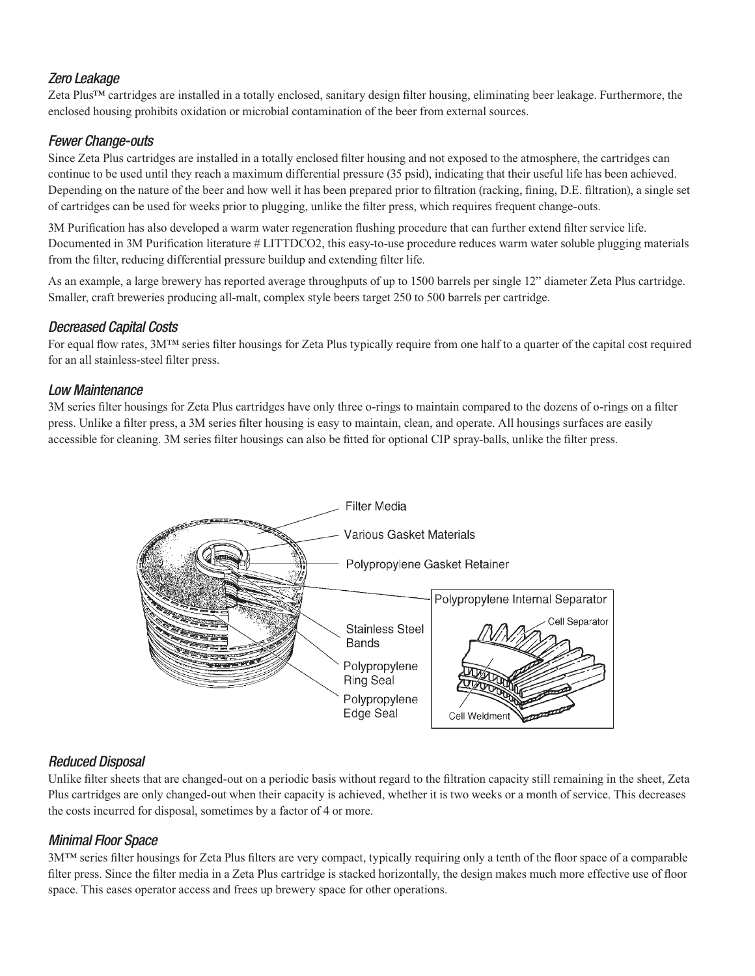# **Zero Leakage**

Zeta Plus™ cartridges are installed in a totally enclosed, sanitary design filter housing, eliminating beer leakage. Furthermore, the enclosed housing prohibits oxidation or microbial contamination of the beer from external sources.

# **Fewer Change-outs**

Since Zeta Plus cartridges are installed in a totally enclosed filter housing and not exposed to the atmosphere, the cartridges can continue to be used until they reach a maximum differential pressure (35 psid), indicating that their useful life has been achieved. Depending on the nature of the beer and how well it has been prepared prior to filtration (racking, fining, D.E. filtration), a single set of cartridges can be used for weeks prior to plugging, unlike the filter press, which requires frequent change-outs.

3M Purification has also developed a warm water regeneration flushing procedure that can further extend filter service life. Documented in 3M Purification literature # LITTDCO2, this easy-to-use procedure reduces warm water soluble plugging materials from the filter, reducing differential pressure buildup and extending filter life.

As an example, a large brewery has reported average throughputs of up to 1500 barrels per single 12" diameter Zeta Plus cartridge. Smaller, craft breweries producing all-malt, complex style beers target 250 to 500 barrels per cartridge.

#### **Decreased Capital Costs**

For equal flow rates, 3M<sup>TM</sup> series filter housings for Zeta Plus typically require from one half to a quarter of the capital cost required for an all stainless-steel filter press.

#### Low Maintenance

3M series filter housings for Zeta Plus cartridges have only three o-rings to maintain compared to the dozens of o-rings on a filter press. Unlike a filter press, a 3M series filter housing is easy to maintain, clean, and operate. All housings surfaces are easily accessible for cleaning. 3M series filter housings can also be fitted for optional CIP spray-balls, unlike the filter press.



# **Reduced Disposal**

Unlike filter sheets that are changed-out on a periodic basis without regard to the filtration capacity still remaining in the sheet, Zeta Plus cartridges are only changed-out when their capacity is achieved, whether it is two weeks or a month of service. This decreases the costs incurred for disposal, sometimes by a factor of 4 or more.

# **Minimal Floor Space**

3MTM series filter housings for Zeta Plus filters are very compact, typically requiring only a tenth of the floor space of a comparable filter press. Since the filter media in a Zeta Plus cartridge is stacked horizontally, the design makes much more effective use of floor space. This eases operator access and frees up brewery space for other operations.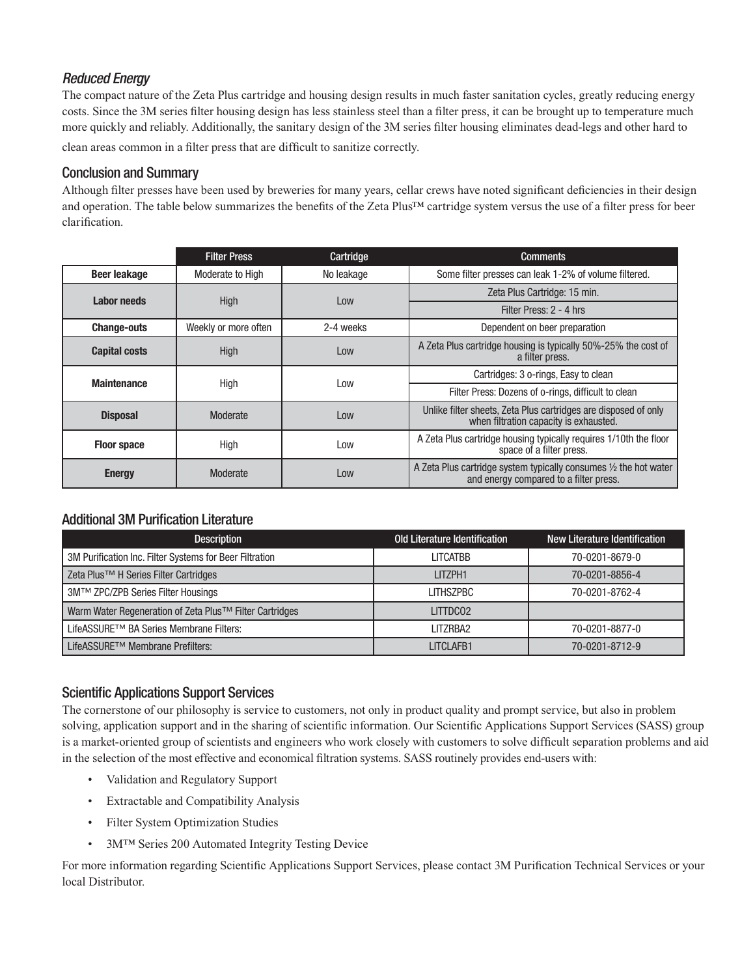# Reduced Energy

The compact nature of the Zeta Plus cartridge and housing design results in much faster sanitation cycles, greatly reducing energy costs. Since the 3M series filter housing design has less stainless steel than a filter press, it can be brought up to temperature much more quickly and reliably. Additionally, the sanitary design of the 3M series filter housing eliminates dead-legs and other hard to clean areas common in a filter press that are difficult to sanitize correctly.

### Conclusion and Summary

Although filter presses have been used by breweries for many years, cellar crews have noted significant deficiencies in their design and operation. The table below summarizes the benefits of the Zeta Plus<sup>TM</sup> cartridge system versus the use of a filter press for beer clarification.

|                      | <b>Filter Press</b>  | Cartridge  | <b>Comments</b>                                                                                                       |  |
|----------------------|----------------------|------------|-----------------------------------------------------------------------------------------------------------------------|--|
| <b>Beer leakage</b>  | Moderate to High     | No leakage | Some filter presses can leak 1-2% of volume filtered.                                                                 |  |
| Labor needs          | <b>High</b>          | Low        | Zeta Plus Cartridge: 15 min.                                                                                          |  |
|                      |                      |            | Filter Press: 2 - 4 hrs                                                                                               |  |
| <b>Change-outs</b>   | Weekly or more often | 2-4 weeks  | Dependent on beer preparation                                                                                         |  |
| <b>Capital costs</b> | High                 | Low        | A Zeta Plus cartridge housing is typically 50%-25% the cost of<br>a filter press.                                     |  |
| <b>Maintenance</b>   | High                 | Low        | Cartridges: 3 o-rings, Easy to clean                                                                                  |  |
|                      |                      |            | Filter Press: Dozens of o-rings, difficult to clean                                                                   |  |
| <b>Disposal</b>      | Moderate             | Low        | Unlike filter sheets, Zeta Plus cartridges are disposed of only<br>when filtration capacity is exhausted.             |  |
| <b>Floor space</b>   | High                 | Low        | A Zeta Plus cartridge housing typically requires 1/10th the floor<br>space of a filter press.                         |  |
| <b>Energy</b>        | Moderate             | Low        | A Zeta Plus cartridge system typically consumes $\frac{1}{2}$ the hot water<br>and energy compared to a filter press. |  |

# Additional 3M Purification Literature

| <b>Description</b>                                      | Old Literature Identification | New Literature Identification |
|---------------------------------------------------------|-------------------------------|-------------------------------|
| 3M Purification Inc. Filter Systems for Beer Filtration | LITCATBB                      | 70-0201-8679-0                |
| Zeta Plus <sup>™</sup> H Series Filter Cartridges       | LITZPH1                       | 70-0201-8856-4                |
| 3M™ ZPC/ZPB Series Filter Housings                      | <b>LITHSZPBC</b>              | 70-0201-8762-4                |
| Warm Water Regeneration of Zeta Plus™ Filter Cartridges | LITTDC02                      |                               |
| LifeASSURE™ BA Series Membrane Filters:                 | I IT7RBA2                     | 70-0201-8877-0                |
| LifeASSURE™ Membrane Prefilters:                        | LITCLAFB1                     | 70-0201-8712-9                |

#### Scientific Applications Support Services

The cornerstone of our philosophy is service to customers, not only in product quality and prompt service, but also in problem solving, application support and in the sharing of scientific information. Our Scientific Applications Support Services (SASS) group is a market-oriented group of scientists and engineers who work closely with customers to solve difficult separation problems and aid in the selection of the most effective and economical filtration systems. SASS routinely provides end-users with:

- , Validation and Regulatory Support
- Extractable and Compatibility Analysis
- · Filter System Optimization Studies
- 3MTM Series 200 Automated Integrity Testing Device

For more information regarding Scientific Applications Support Services, please contact 3M Purification Technical Services or your local Distributor.